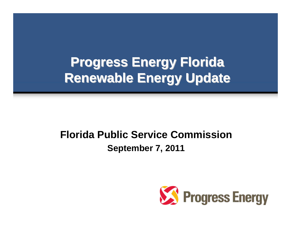# **Progress Energy Florida Renewable Energy Update Renewable Energy Update**

### **Florida Public Service CommissionSeptember 7, 2011**

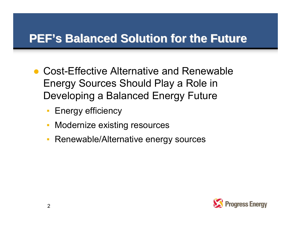### **PEF's Balanced Solution for the Future**

- Cost-Effective Alternative and Renewable Energy Sources Should Play a Role in Developing a Balanced Energy Future
	- ▪Energy efficiency
	- $\Box$ Modernize existing resources
	- ▪Renewable/Alternative energy sources

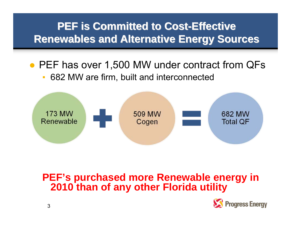### **PEF is Committed to Cost-Effective Renewables and Alternative Energy Sources**

● PEF has over 1,500 MW under contract from QFs 682 MW are firm, built and interconnected



**PEF's purchased more Renewable energy in 2010 than of any other Florida utility**

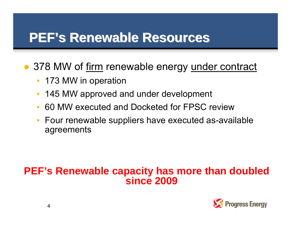## **PEF's Renewable Resources s Renewable Resources**

● 378 MW of firm renewable energy under contract

- 173 MW in operation
- ▪145 MW approved and under development
- 60 MW executed and Docketed for FPSC review
- Four renewable suppliers have executed as-available agreements

### **PEF's Renewable capacity has more than doubled since 2009**

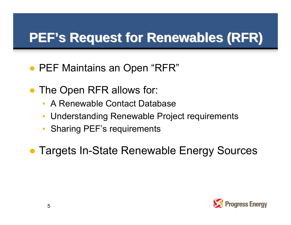# **PEF's Request for Renewables (RFR)**

- PEF Maintains an Open "RFR"
- ● The Open RFR allows for:
	- ▪A Renewable Contact Database
	- ▪Understanding Renewable Project requirements
	- ▪Sharing PEF's requirements
- Targets In-State Renewable Energy Sources

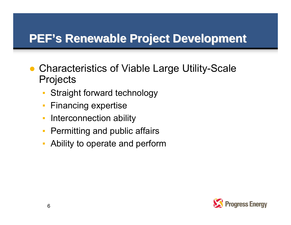### **PEF's Renewable Project Development**

- Characteristics of Viable Large Utility-Scale **Projects** 
	- ▪Straight forward technology
	- ▪Financing expertise
	- ▪Interconnection ability
	- $\mathbb{R}^n$ Permitting and public affairs
	- ▪Ability to operate and perform

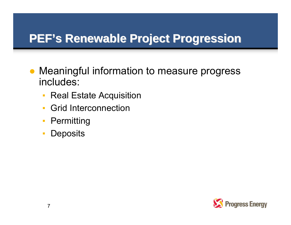### **PEF's Renewable Project Progression**

- ● Meaningful information to measure progress includes:
	- $\mathbb{R}^2$ Real Estate Acquisition
	- ▪Grid Interconnection
	- **Permitting**
	- ▪**Deposits**

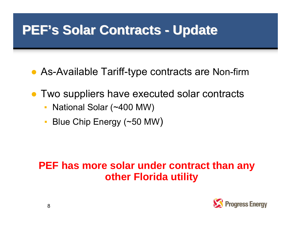## **PEF's Solar Contracts - Update**

- As-Available Tariff-type contracts are Non-firm
- Two suppliers have executed solar contracts
	- National Solar (~400 MW)
	- Blue Chip Energy (~50 MW)

### **PEF has more solar under contract than any other Florida utility**

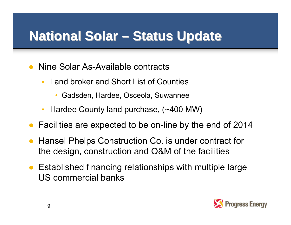# **National Solar – Status Update**

- $\bullet$  Nine Solar As-Available contracts
	- $\blacksquare$  Land broker and Short List of Counties
		- •Gadsden, Hardee, Osceola, Suwannee
	- ▪Hardee County land purchase, (~400 MW)
- Facilities are expected to be on-line by the end of 2014
- $\bullet$  Hansel Phelps Construction Co. is under contract for the design, construction and O&M of the facilities
- Established financing relationships with multiple large US commercial banks

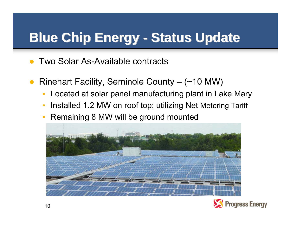# **Blue Chip Energy - Status Update**

- ●Two Solar As-Available contracts
- ● Rinehart Facility, Seminole County – (~10 MW)
	- $\Box$ Located at solar panel manufacturing plant in Lake Mary
	- $\overline{\phantom{a}}$ Installed 1.2 MW on roof top; utilizing Net Metering Tariff
	- ▪Remaining 8 MW will be ground mounted



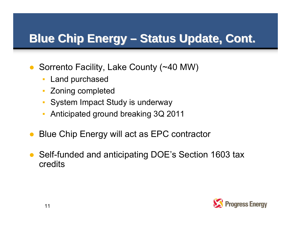#### **Blue Chip Energy – –Status Update, Cont. Status Update, Cont.**

- ● Sorrento Facility, Lake County (~40 MW)
	- ▪Land purchased
	- $\mathbb{R}^n$ Zoning completed
	- ▪System Impact Study is underway
	- $\Box$ Anticipated ground breaking 3Q 2011
- $\bullet$ Blue Chip Energy will act as EPC contractor
- ● Self-funded and anticipating DOE's Section 1603 tax credits

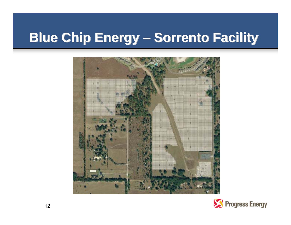# **Blue Chip Energy – Sorrento Facility**



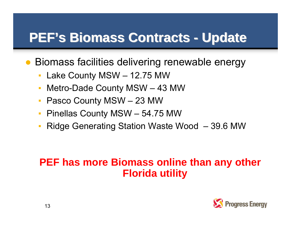# **PEF's Biomass Contracts - Update**

● Biomass facilities delivering renewable energy

- Lake County MSW 12.75 MW
- ▪Metro-Dade County MSW – 43 MW
- Pasco County MSW 23 MW
- $\blacksquare$ Pinellas County MSW – 54.75 MW
- **Ridge Generating Station Waste Wood 39.6 MW**

### **PEF has more Biomass online than any other Florida utility**

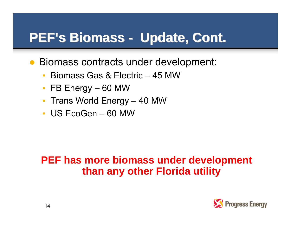# **PEF's Biomass - Update, Cont.**

- Biomass contracts under development:
	- $\blacksquare$ Biomass Gas & Electric – 45 MW
	- FB Energy 60 MW
	- Trans World Energy 40 MW
	- US EcoGen 60 MW

### **PEF has more biomass under development than any other Florida utility**

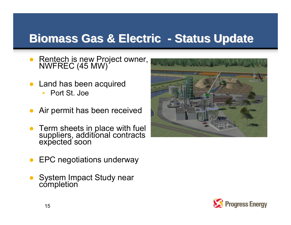### **Biomass Gas & Electric - Status Update**

- $\bullet$ Rentech is new Project owner, NWFREC (45 MW)
- Land has been acquired  $\Box$ Port St. Joe
- $\bullet$ Air permit has been received
- ●Term sheets in place with fuel suppliers, additional contracts expected soon



- ●EPC negotiations underway
- ●System Impact Study near<br>completion

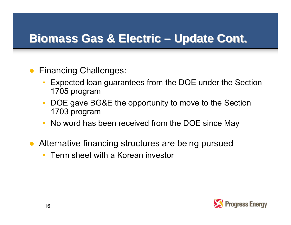#### **Biomass Gas & Electric Biomass Gas & Electric – –Update Cont. Update Cont.**

- ● Financing Challenges:
	- Expected loan guarantees from the DOE under the Section 1705 program
	- $\overline{\phantom{a}}$  DOE gave BG&E the opportunity to move to the Section 1703 program
	- No word has been received from the DOE since May
- Alternative financing structures are being pursued
	- $\mathbb{R}^n$ Term sheet with a Korean investor

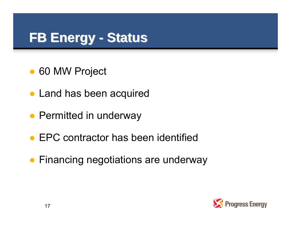# **FB Energy - Status**

- ●60 MW Project
- Land has been acquired
- Permitted in underway
- EPC contractor has been identified
- Financing negotiations are underway

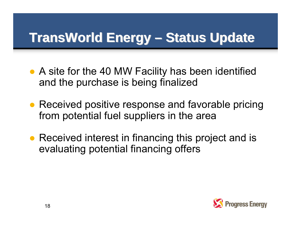# **TransWorld TransWorld Energy –Status Update Status Update**

- A site for the 40 MW Facility has been identified and the purchase is being finalized
- Received positive response and favorable pricing from potential fuel suppliers in the area
- Received interest in financing this project and is evaluating potential financing offers